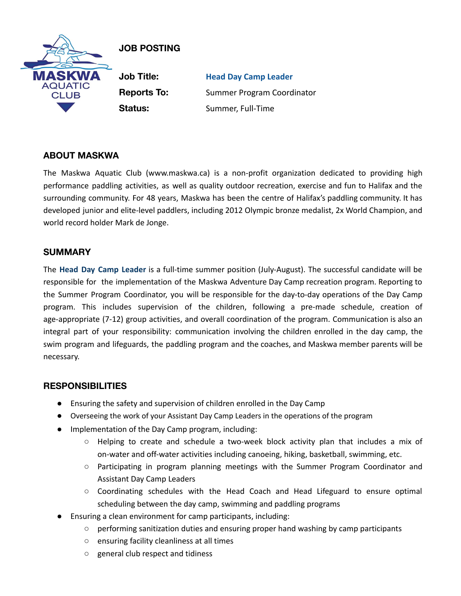

# **JOB POSTING**

**Job Title: Head Day Camp Leader Reports To:** Summer Program Coordinator **Status:** Summer, Full-Time

## **ABOUT MASKWA**

The Maskwa Aquatic Club (www.maskwa.ca) is a non-profit organization dedicated to providing high performance paddling activities, as well as quality outdoor recreation, exercise and fun to Halifax and the surrounding community. For 48 years, Maskwa has been the centre of Halifax's paddling community. It has developed junior and elite-level paddlers, including 2012 Olympic bronze medalist, 2x World Champion, and world record holder Mark de Jonge.

## **SUMMARY**

The **Head Day Camp Leader** is a full-time summer position (July-August). The successful candidate will be responsible for the implementation of the Maskwa Adventure Day Camp recreation program. Reporting to the Summer Program Coordinator, you will be responsible for the day-to-day operations of the Day Camp program. This includes supervision of the children, following a pre-made schedule, creation of age-appropriate (7-12) group activities, and overall coordination of the program. Communication is also an integral part of your responsibility: communication involving the children enrolled in the day camp, the swim program and lifeguards, the paddling program and the coaches, and Maskwa member parents will be necessary.

## **RESPONSIBILITIES**

- Ensuring the safety and supervision of children enrolled in the Day Camp
- Overseeing the work of your Assistant Day Camp Leaders in the operations of the program
- Implementation of the Day Camp program, including:
	- Helping to create and schedule a two-week block activity plan that includes a mix of on-water and off-water activities including canoeing, hiking, basketball, swimming, etc.
	- Participating in program planning meetings with the Summer Program Coordinator and Assistant Day Camp Leaders
	- Coordinating schedules with the Head Coach and Head Lifeguard to ensure optimal scheduling between the day camp, swimming and paddling programs
- Ensuring a clean environment for camp participants, including:
	- performing sanitization duties and ensuring proper hand washing by camp participants
	- ensuring facility cleanliness at all times
	- general club respect and tidiness